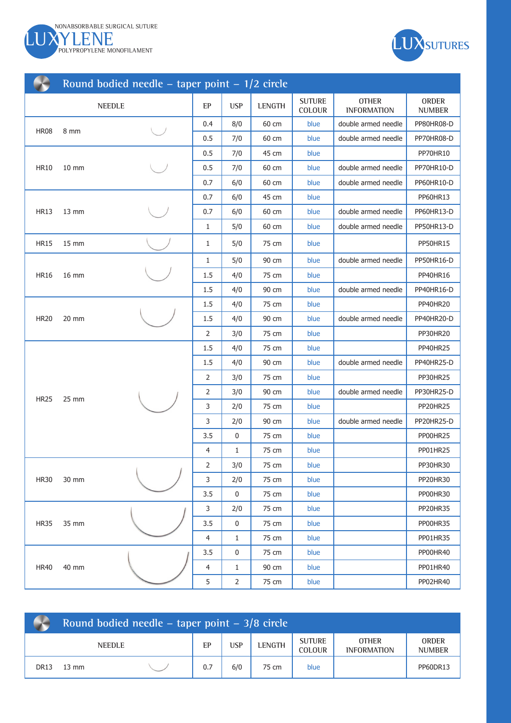



| Round bodied needle – taper point – $1/2$ circle |                   |               |                |                |               |                         |                                    |                        |  |  |
|--------------------------------------------------|-------------------|---------------|----------------|----------------|---------------|-------------------------|------------------------------------|------------------------|--|--|
|                                                  |                   | <b>NEEDLE</b> | EP             | <b>USP</b>     | <b>LENGTH</b> | <b>SUTURE</b><br>COLOUR | <b>OTHER</b><br><b>INFORMATION</b> | ORDER<br><b>NUMBER</b> |  |  |
|                                                  |                   |               | 0.4            | 8/0            | 60 cm         | blue                    | double armed needle                | PP80HR08-D             |  |  |
| <b>HR08</b>                                      | 8 mm              |               | 0.5            | 7/0            | 60 cm         | blue                    | double armed needle                | PP70HR08-D             |  |  |
|                                                  |                   |               | 0.5            | 7/0            | 45 cm         | blue                    |                                    | PP70HR10               |  |  |
| <b>HR10</b>                                      | $10 \, \text{mm}$ |               | 0.5            | 7/0            | 60 cm         | blue                    | double armed needle                | PP70HR10-D             |  |  |
|                                                  |                   |               | 0.7            | 6/0            | 60 cm         | blue                    | double armed needle                | PP60HR10-D             |  |  |
|                                                  |                   |               | 0.7            | 6/0            | 45 cm         | blue                    |                                    | PP60HR13               |  |  |
| <b>HR13</b>                                      | $13 \, \text{mm}$ |               | 0.7            | 6/0            | 60 cm         | blue                    | double armed needle                | PP60HR13-D             |  |  |
|                                                  |                   |               | 1              | 5/0            | 60 cm         | blue                    | double armed needle                | PP50HR13-D             |  |  |
| <b>HR15</b>                                      | 15 mm             |               | 1              | 5/0            | 75 cm         | blue                    |                                    | <b>PP50HR15</b>        |  |  |
|                                                  |                   |               | $\mathbf{1}$   | 5/0            | 90 cm         | blue                    | double armed needle                | PP50HR16-D             |  |  |
| <b>HR16</b>                                      | 16 mm             |               | 1.5            | 4/0            | 75 cm         | blue                    |                                    | PP40HR16               |  |  |
|                                                  |                   |               | 1.5            | 4/0            | 90 cm         | blue                    | double armed needle                | PP40HR16-D             |  |  |
|                                                  | 20 mm             |               | 1.5            | 4/0            | 75 cm         | blue                    |                                    | PP40HR20               |  |  |
| <b>HR20</b>                                      |                   |               | 1.5            | 4/0            | 90 cm         | blue                    | double armed needle                | PP40HR20-D             |  |  |
|                                                  |                   |               | $\overline{2}$ | 3/0            | 75 cm         | blue                    |                                    | PP30HR20               |  |  |
|                                                  |                   |               | 1.5            | 4/0            | 75 cm         | blue                    |                                    | PP40HR25               |  |  |
|                                                  |                   |               | 1.5            | 4/0            | 90 cm         | blue                    | double armed needle                | PP40HR25-D             |  |  |
|                                                  |                   |               | 2              | 3/0            | 75 cm         | blue                    |                                    | PP30HR25               |  |  |
| <b>HR25</b>                                      | 25 mm             |               | $\overline{2}$ | 3/0            | 90 cm         | blue                    | double armed needle                | PP30HR25-D             |  |  |
|                                                  |                   |               | 3              | 2/0            | 75 cm         | blue                    |                                    | PP20HR25               |  |  |
|                                                  |                   |               | 3              | 2/0            | 90 cm         | blue                    | double armed needle                | PP20HR25-D             |  |  |
|                                                  |                   |               | 3.5            | 0              | 75 cm         | blue                    |                                    | PP00HR25               |  |  |
|                                                  |                   |               | $\overline{4}$ | 1              | 75 cm         | blue                    |                                    | PP01HR25               |  |  |
|                                                  |                   |               | 2              | 3/0            | 75 cm         | blue                    |                                    | PP30HR30               |  |  |
| <b>HR30</b>                                      | 30 mm             |               | 3              | 2/0            | 75 cm         | blue                    |                                    | PP20HR30               |  |  |
|                                                  |                   |               | 3.5            | 0              | 75 cm         | blue                    |                                    | PP00HR30               |  |  |
|                                                  |                   |               | 3              | 2/0            | 75 cm         | blue                    |                                    | PP20HR35               |  |  |
| <b>HR35</b>                                      | 35 mm             |               | 3.5            | $\pmb{0}$      | 75 cm         | blue                    |                                    | PP00HR35               |  |  |
|                                                  |                   |               | $\overline{4}$ | $\mathbf{1}$   | 75 cm         | blue                    |                                    | PP01HR35               |  |  |
|                                                  |                   |               | 3.5            | $\pmb{0}$      | 75 cm         | blue                    |                                    | PP00HR40               |  |  |
| <b>HR40</b>                                      | 40 mm             |               | $\overline{4}$ | $\mathbf{1}$   | 90 cm         | blue                    |                                    | PP01HR40               |  |  |
|                                                  |                   |               | 5              | $\overline{2}$ | 75 cm         | blue                    |                                    | PP02HR40               |  |  |

|             | Round bodied needle – taper point – $3/8$ circle |  |     |     |               |                                |                                    |                               |  |  |  |
|-------------|--------------------------------------------------|--|-----|-----|---------------|--------------------------------|------------------------------------|-------------------------------|--|--|--|
|             | <b>NEEDLE</b>                                    |  |     | USP | <b>LENGTH</b> | <b>SUTURE</b><br><b>COLOUR</b> | <b>OTHER</b><br><b>INFORMATION</b> | <b>ORDER</b><br><b>NUMBER</b> |  |  |  |
| <b>DR13</b> | 13 mm                                            |  | 0.7 | 6/0 | 75 cm         | blue                           |                                    | PP60DR13                      |  |  |  |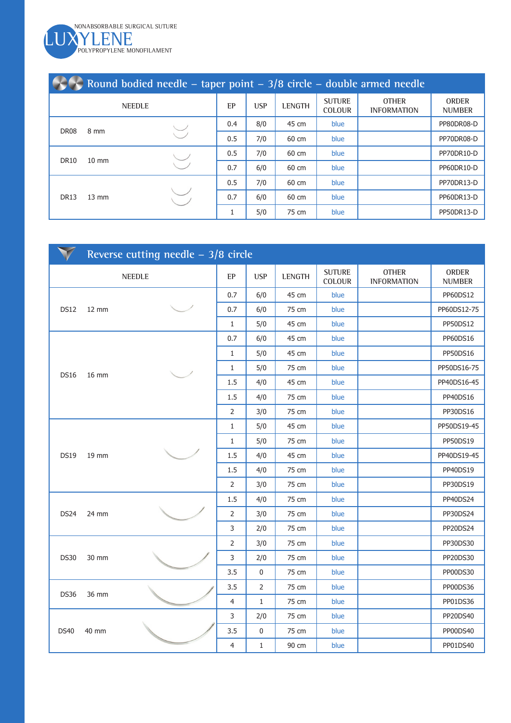LUXYLENE MONOFILAMENT NONABSORBABLE SURGICAL SUTURE

| Round bodied needle – taper point $-3/8$ circle – double armed needle |                 |  |     |            |               |                                |                                    |                               |  |  |  |
|-----------------------------------------------------------------------|-----------------|--|-----|------------|---------------|--------------------------------|------------------------------------|-------------------------------|--|--|--|
| <b>NEEDLE</b>                                                         |                 |  | EP  | <b>USP</b> | <b>LENGTH</b> | <b>SUTURE</b><br><b>COLOUR</b> | <b>OTHER</b><br><b>INFORMATION</b> | <b>ORDER</b><br><b>NUMBER</b> |  |  |  |
| <b>DR08</b>                                                           | 8 mm            |  | 0.4 | 8/0        | 45 cm         | blue                           |                                    | PP80DR08-D                    |  |  |  |
|                                                                       |                 |  | 0.5 | 7/0        | 60 cm         | blue                           |                                    | PP70DR08-D                    |  |  |  |
|                                                                       | $10 \text{ mm}$ |  | 0.5 | 7/0        | 60 cm         | blue                           |                                    | <b>PP70DR10-D</b>             |  |  |  |
| <b>DR10</b>                                                           |                 |  | 0.7 | 6/0        | 60 cm         | blue                           |                                    | PP60DR10-D                    |  |  |  |
|                                                                       | $13 \text{ mm}$ |  | 0.5 | 7/0        | 60 cm         | blue                           |                                    | PP70DR13-D                    |  |  |  |
| <b>DR13</b>                                                           |                 |  | 0.7 | 6/0        | 60 cm         | blue                           |                                    | PP60DR13-D                    |  |  |  |
|                                                                       |                 |  |     | 5/0        | 75 cm         | blue                           |                                    | <b>PP50DR13-D</b>             |  |  |  |

|             | Reverse cutting needle $-3/8$ circle |               |                |            |        |                                |                                    |                               |  |  |  |
|-------------|--------------------------------------|---------------|----------------|------------|--------|--------------------------------|------------------------------------|-------------------------------|--|--|--|
|             |                                      | <b>NEEDLE</b> | EP             | <b>USP</b> | LENGTH | <b>SUTURE</b><br><b>COLOUR</b> | <b>OTHER</b><br><b>INFORMATION</b> | <b>ORDER</b><br><b>NUMBER</b> |  |  |  |
|             |                                      |               | 0.7            | 6/0        | 45 cm  | blue                           |                                    | PP60DS12                      |  |  |  |
| <b>DS12</b> | $12 \, \text{mm}$                    |               | 0.7            | 6/0        | 75 cm  | blue                           |                                    | PP60DS12-75                   |  |  |  |
|             |                                      |               | 1              | 5/0        | 45 cm  | blue                           |                                    | PP50DS12                      |  |  |  |
|             |                                      |               | 0.7            | 6/0        | 45 cm  | blue                           |                                    | PP60DS16                      |  |  |  |
|             |                                      |               | $\mathbf{1}$   | 5/0        | 45 cm  | blue                           |                                    | PP50DS16                      |  |  |  |
| <b>DS16</b> | 16 mm                                |               | 1              | 5/0        | 75 cm  | blue                           |                                    | PP50DS16-75                   |  |  |  |
|             |                                      |               | 1.5            | 4/0        | 45 cm  | blue                           |                                    | PP40DS16-45                   |  |  |  |
|             |                                      |               | 1.5            | 4/0        | 75 cm  | blue                           |                                    | PP40DS16                      |  |  |  |
|             |                                      |               | 2              | 3/0        | 75 cm  | blue                           |                                    | PP30DS16                      |  |  |  |
|             | 19 mm                                |               | $\mathbf{1}$   | 5/0        | 45 cm  | blue                           |                                    | PP50DS19-45                   |  |  |  |
|             |                                      |               | $\mathbf{1}$   | 5/0        | 75 cm  | blue                           |                                    | PP50DS19                      |  |  |  |
| <b>DS19</b> |                                      |               | 1.5            | 4/0        | 45 cm  | blue                           |                                    | PP40DS19-45                   |  |  |  |
|             |                                      |               | $1.5\,$        | 4/0        | 75 cm  | blue                           |                                    | PP40DS19                      |  |  |  |
|             |                                      |               | $\overline{2}$ | 3/0        | 75 cm  | blue                           |                                    | PP30DS19                      |  |  |  |
|             |                                      |               | 1.5            | 4/0        | 75 cm  | blue                           |                                    | PP40DS24                      |  |  |  |
| DS24        | 24 mm                                |               | 2              | 3/0        | 75 cm  | blue                           |                                    | PP30DS24                      |  |  |  |
|             |                                      |               | 3              | 2/0        | 75 cm  | blue                           |                                    | PP20DS24                      |  |  |  |
|             |                                      |               | 2              | 3/0        | 75 cm  | blue                           |                                    | PP30DS30                      |  |  |  |
| <b>DS30</b> | 30 mm                                |               | 3              | 2/0        | 75 cm  | blue                           |                                    | PP20DS30                      |  |  |  |
|             |                                      |               | 3.5            | 0          | 75 cm  | blue                           |                                    | PP00DS30                      |  |  |  |
| <b>DS36</b> | 36 mm                                |               | 3.5            | 2          | 75 cm  | blue                           |                                    | PP00DS36                      |  |  |  |
|             |                                      |               | 4              | 1          | 75 cm  | blue                           |                                    | PP01DS36                      |  |  |  |
|             |                                      |               | 3              | 2/0        | 75 cm  | blue                           |                                    | PP20DS40                      |  |  |  |
| <b>DS40</b> | 40 mm                                |               | 3.5            | 0          | 75 cm  | blue                           |                                    | PP00DS40                      |  |  |  |
|             |                                      |               | 4              | 1          | 90 cm  | blue                           |                                    | PP01DS40                      |  |  |  |